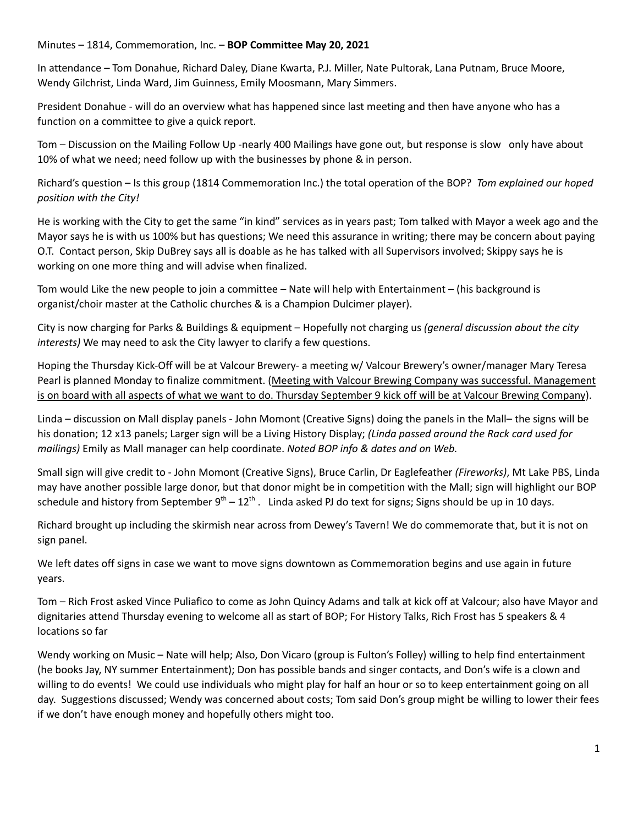## Minutes – 1814, Commemoration, Inc. – **BOP Committee May 20, 2021**

In attendance – Tom Donahue, Richard Daley, Diane Kwarta, P.J. Miller, Nate Pultorak, Lana Putnam, Bruce Moore, Wendy Gilchrist, Linda Ward, Jim Guinness, Emily Moosmann, Mary Simmers.

President Donahue - will do an overview what has happened since last meeting and then have anyone who has a function on a committee to give a quick report.

Tom – Discussion on the Mailing Follow Up -nearly 400 Mailings have gone out, but response is slow only have about 10% of what we need; need follow up with the businesses by phone & in person.

Richard's question – Is this group (1814 Commemoration Inc.) the total operation of the BOP? *Tom explained our hoped position with the City!*

He is working with the City to get the same "in kind" services as in years past; Tom talked with Mayor a week ago and the Mayor says he is with us 100% but has questions; We need this assurance in writing; there may be concern about paying O.T. Contact person, Skip DuBrey says all is doable as he has talked with all Supervisors involved; Skippy says he is working on one more thing and will advise when finalized.

Tom would Like the new people to join a committee – Nate will help with Entertainment – (his background is organist/choir master at the Catholic churches & is a Champion Dulcimer player).

City is now charging for Parks & Buildings & equipment – Hopefully not charging us *(general discussion about the city interests)* We may need to ask the City lawyer to clarify a few questions.

Hoping the Thursday Kick-Off will be at Valcour Brewery- a meeting w/ Valcour Brewery's owner/manager Mary Teresa Pearl is planned Monday to finalize commitment. (Meeting with Valcour Brewing Company was successful. Management is on board with all aspects of what we want to do. Thursday September 9 kick off will be at Valcour Brewing Company).

Linda – discussion on Mall display panels - John Momont (Creative Signs) doing the panels in the Mall– the signs will be his donation; 12 x13 panels; Larger sign will be a Living History Display; *(Linda passed around the Rack card used for mailings)* Emily as Mall manager can help coordinate. *Noted BOP info & dates and on Web.*

Small sign will give credit to - John Momont (Creative Signs), Bruce Carlin, Dr Eaglefeather *(Fireworks)*, Mt Lake PBS, Linda may have another possible large donor, but that donor might be in competition with the Mall; sign will highlight our BOP schedule and history from September  $9^{th} - 12^{th}$ . Linda asked PJ do text for signs; Signs should be up in 10 days.

Richard brought up including the skirmish near across from Dewey's Tavern! We do commemorate that, but it is not on sign panel.

We left dates off signs in case we want to move signs downtown as Commemoration begins and use again in future years.

Tom – Rich Frost asked Vince Puliafico to come as John Quincy Adams and talk at kick off at Valcour; also have Mayor and dignitaries attend Thursday evening to welcome all as start of BOP; For History Talks, Rich Frost has 5 speakers & 4 locations so far

Wendy working on Music – Nate will help; Also, Don Vicaro (group is Fulton's Folley) willing to help find entertainment (he books Jay, NY summer Entertainment); Don has possible bands and singer contacts, and Don's wife is a clown and willing to do events! We could use individuals who might play for half an hour or so to keep entertainment going on all day. Suggestions discussed; Wendy was concerned about costs; Tom said Don's group might be willing to lower their fees if we don't have enough money and hopefully others might too.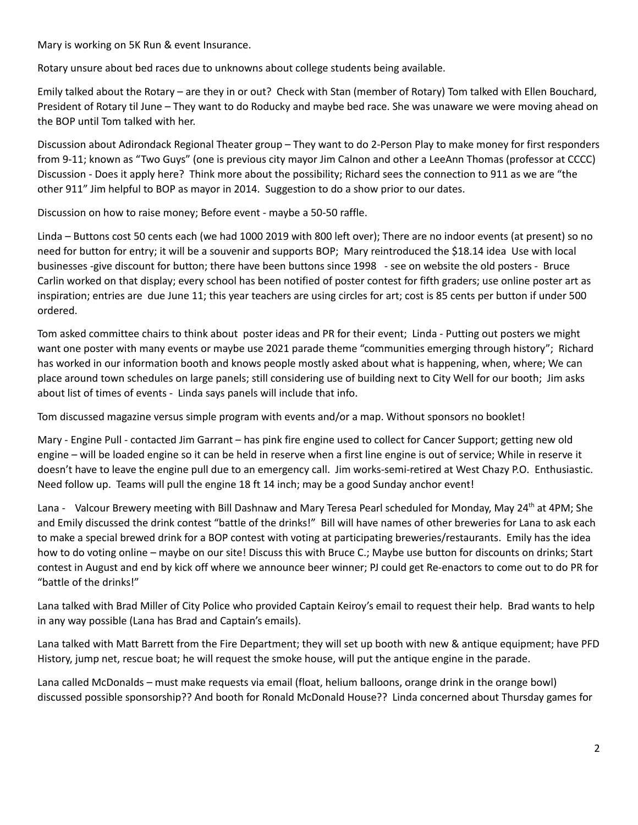Mary is working on 5K Run & event Insurance.

Rotary unsure about bed races due to unknowns about college students being available.

Emily talked about the Rotary – are they in or out? Check with Stan (member of Rotary) Tom talked with Ellen Bouchard, President of Rotary til June – They want to do Roducky and maybe bed race. She was unaware we were moving ahead on the BOP until Tom talked with her.

Discussion about Adirondack Regional Theater group – They want to do 2-Person Play to make money for first responders from 9-11; known as "Two Guys" (one is previous city mayor Jim Calnon and other a LeeAnn Thomas (professor at CCCC) Discussion - Does it apply here? Think more about the possibility; Richard sees the connection to 911 as we are "the other 911" Jim helpful to BOP as mayor in 2014. Suggestion to do a show prior to our dates.

Discussion on how to raise money; Before event - maybe a 50-50 raffle.

Linda – Buttons cost 50 cents each (we had 1000 2019 with 800 left over); There are no indoor events (at present) so no need for button for entry; it will be a souvenir and supports BOP; Mary reintroduced the \$18.14 idea Use with local businesses -give discount for button; there have been buttons since 1998 - see on website the old posters - Bruce Carlin worked on that display; every school has been notified of poster contest for fifth graders; use online poster art as inspiration; entries are due June 11; this year teachers are using circles for art; cost is 85 cents per button if under 500 ordered.

Tom asked committee chairs to think about poster ideas and PR for their event; Linda - Putting out posters we might want one poster with many events or maybe use 2021 parade theme "communities emerging through history"; Richard has worked in our information booth and knows people mostly asked about what is happening, when, where; We can place around town schedules on large panels; still considering use of building next to City Well for our booth; Jim asks about list of times of events - Linda says panels will include that info.

Tom discussed magazine versus simple program with events and/or a map. Without sponsors no booklet!

Mary - Engine Pull - contacted Jim Garrant – has pink fire engine used to collect for Cancer Support; getting new old engine – will be loaded engine so it can be held in reserve when a first line engine is out of service; While in reserve it doesn't have to leave the engine pull due to an emergency call. Jim works-semi-retired at West Chazy P.O. Enthusiastic. Need follow up. Teams will pull the engine 18 ft 14 inch; may be a good Sunday anchor event!

Lana - Valcour Brewery meeting with Bill Dashnaw and Mary Teresa Pearl scheduled for Monday, May 24<sup>th</sup> at 4PM; She and Emily discussed the drink contest "battle of the drinks!" Bill will have names of other breweries for Lana to ask each to make a special brewed drink for a BOP contest with voting at participating breweries/restaurants. Emily has the idea how to do voting online – maybe on our site! Discuss this with Bruce C.; Maybe use button for discounts on drinks; Start contest in August and end by kick off where we announce beer winner; PJ could get Re-enactors to come out to do PR for "battle of the drinks!"

Lana talked with Brad Miller of City Police who provided Captain Keiroy's email to request their help. Brad wants to help in any way possible (Lana has Brad and Captain's emails).

Lana talked with Matt Barrett from the Fire Department; they will set up booth with new & antique equipment; have PFD History, jump net, rescue boat; he will request the smoke house, will put the antique engine in the parade.

Lana called McDonalds – must make requests via email (float, helium balloons, orange drink in the orange bowl) discussed possible sponsorship?? And booth for Ronald McDonald House?? Linda concerned about Thursday games for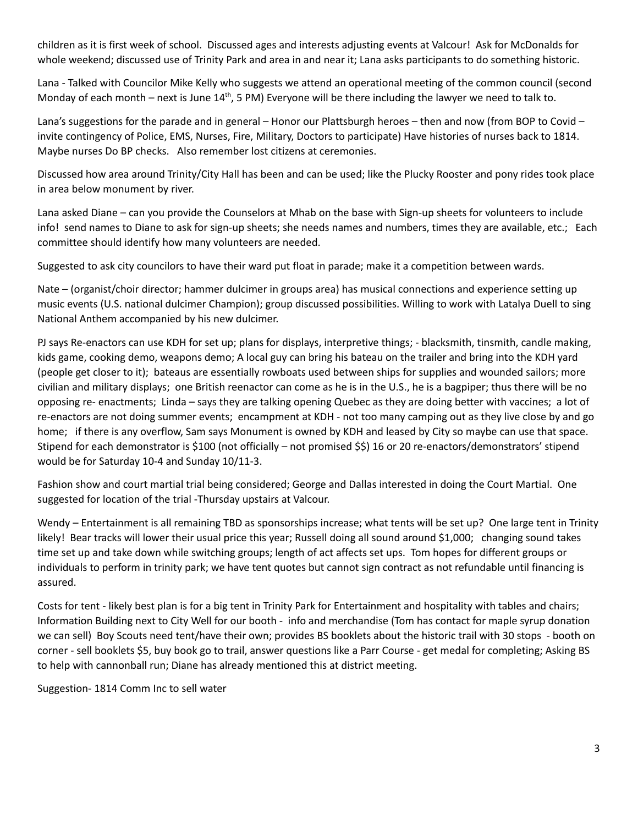children as it is first week of school. Discussed ages and interests adjusting events at Valcour! Ask for McDonalds for whole weekend; discussed use of Trinity Park and area in and near it; Lana asks participants to do something historic.

Lana - Talked with Councilor Mike Kelly who suggests we attend an operational meeting of the common council (second Monday of each month  $-$  next is June  $14<sup>th</sup>$ , 5 PM) Everyone will be there including the lawyer we need to talk to.

Lana's suggestions for the parade and in general – Honor our Plattsburgh heroes – then and now (from BOP to Covid – invite contingency of Police, EMS, Nurses, Fire, Military, Doctors to participate) Have histories of nurses back to 1814. Maybe nurses Do BP checks. Also remember lost citizens at ceremonies.

Discussed how area around Trinity/City Hall has been and can be used; like the Plucky Rooster and pony rides took place in area below monument by river.

Lana asked Diane – can you provide the Counselors at Mhab on the base with Sign-up sheets for volunteers to include info! send names to Diane to ask for sign-up sheets; she needs names and numbers, times they are available, etc.; Each committee should identify how many volunteers are needed.

Suggested to ask city councilors to have their ward put float in parade; make it a competition between wards.

Nate – (organist/choir director; hammer dulcimer in groups area) has musical connections and experience setting up music events (U.S. national dulcimer Champion); group discussed possibilities. Willing to work with Latalya Duell to sing National Anthem accompanied by his new dulcimer.

PJ says Re-enactors can use KDH for set up; plans for displays, interpretive things; - blacksmith, tinsmith, candle making, kids game, cooking demo, weapons demo; A local guy can bring his bateau on the trailer and bring into the KDH yard (people get closer to it); bateaus are essentially rowboats used between ships for supplies and wounded sailors; more civilian and military displays; one British reenactor can come as he is in the U.S., he is a bagpiper; thus there will be no opposing re- enactments; Linda – says they are talking opening Quebec as they are doing better with vaccines; a lot of re-enactors are not doing summer events; encampment at KDH - not too many camping out as they live close by and go home; if there is any overflow, Sam says Monument is owned by KDH and leased by City so maybe can use that space. Stipend for each demonstrator is \$100 (not officially – not promised \$\$) 16 or 20 re-enactors/demonstrators' stipend would be for Saturday 10-4 and Sunday 10/11-3.

Fashion show and court martial trial being considered; George and Dallas interested in doing the Court Martial. One suggested for location of the trial -Thursday upstairs at Valcour.

Wendy – Entertainment is all remaining TBD as sponsorships increase; what tents will be set up? One large tent in Trinity likely! Bear tracks will lower their usual price this year; Russell doing all sound around \$1,000; changing sound takes time set up and take down while switching groups; length of act affects set ups. Tom hopes for different groups or individuals to perform in trinity park; we have tent quotes but cannot sign contract as not refundable until financing is assured.

Costs for tent - likely best plan is for a big tent in Trinity Park for Entertainment and hospitality with tables and chairs; Information Building next to City Well for our booth - info and merchandise (Tom has contact for maple syrup donation we can sell) Boy Scouts need tent/have their own; provides BS booklets about the historic trail with 30 stops - booth on corner - sell booklets \$5, buy book go to trail, answer questions like a Parr Course - get medal for completing; Asking BS to help with cannonball run; Diane has already mentioned this at district meeting.

Suggestion- 1814 Comm Inc to sell water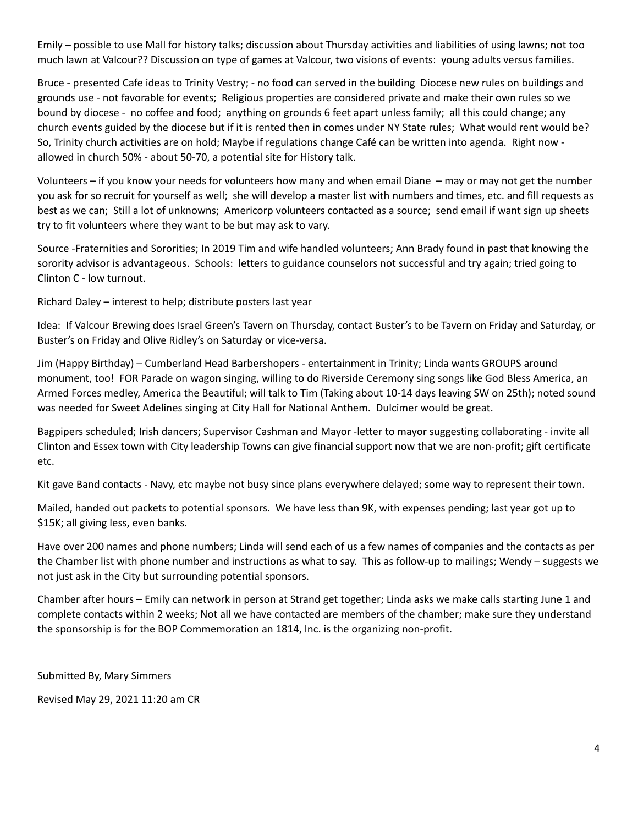Emily – possible to use Mall for history talks; discussion about Thursday activities and liabilities of using lawns; not too much lawn at Valcour?? Discussion on type of games at Valcour, two visions of events: young adults versus families.

Bruce - presented Cafe ideas to Trinity Vestry; - no food can served in the building Diocese new rules on buildings and grounds use - not favorable for events; Religious properties are considered private and make their own rules so we bound by diocese - no coffee and food; anything on grounds 6 feet apart unless family; all this could change; any church events guided by the diocese but if it is rented then in comes under NY State rules; What would rent would be? So, Trinity church activities are on hold; Maybe if regulations change Café can be written into agenda. Right now allowed in church 50% - about 50-70, a potential site for History talk.

Volunteers – if you know your needs for volunteers how many and when email Diane – may or may not get the number you ask for so recruit for yourself as well; she will develop a master list with numbers and times, etc. and fill requests as best as we can; Still a lot of unknowns; Americorp volunteers contacted as a source; send email if want sign up sheets try to fit volunteers where they want to be but may ask to vary.

Source -Fraternities and Sororities; In 2019 Tim and wife handled volunteers; Ann Brady found in past that knowing the sorority advisor is advantageous. Schools: letters to guidance counselors not successful and try again; tried going to Clinton C - low turnout.

Richard Daley – interest to help; distribute posters last year

Idea: If Valcour Brewing does Israel Green's Tavern on Thursday, contact Buster's to be Tavern on Friday and Saturday, or Buster's on Friday and Olive Ridley's on Saturday or vice-versa.

Jim (Happy Birthday) – Cumberland Head Barbershopers - entertainment in Trinity; Linda wants GROUPS around monument, too! FOR Parade on wagon singing, willing to do Riverside Ceremony sing songs like God Bless America, an Armed Forces medley, America the Beautiful; will talk to Tim (Taking about 10-14 days leaving SW on 25th); noted sound was needed for Sweet Adelines singing at City Hall for National Anthem. Dulcimer would be great.

Bagpipers scheduled; Irish dancers; Supervisor Cashman and Mayor -letter to mayor suggesting collaborating - invite all Clinton and Essex town with City leadership Towns can give financial support now that we are non-profit; gift certificate etc.

Kit gave Band contacts - Navy, etc maybe not busy since plans everywhere delayed; some way to represent their town.

Mailed, handed out packets to potential sponsors. We have less than 9K, with expenses pending; last year got up to \$15K; all giving less, even banks.

Have over 200 names and phone numbers; Linda will send each of us a few names of companies and the contacts as per the Chamber list with phone number and instructions as what to say. This as follow-up to mailings; Wendy – suggests we not just ask in the City but surrounding potential sponsors.

Chamber after hours – Emily can network in person at Strand get together; Linda asks we make calls starting June 1 and complete contacts within 2 weeks; Not all we have contacted are members of the chamber; make sure they understand the sponsorship is for the BOP Commemoration an 1814, Inc. is the organizing non-profit.

Submitted By, Mary Simmers

Revised May 29, 2021 11:20 am CR